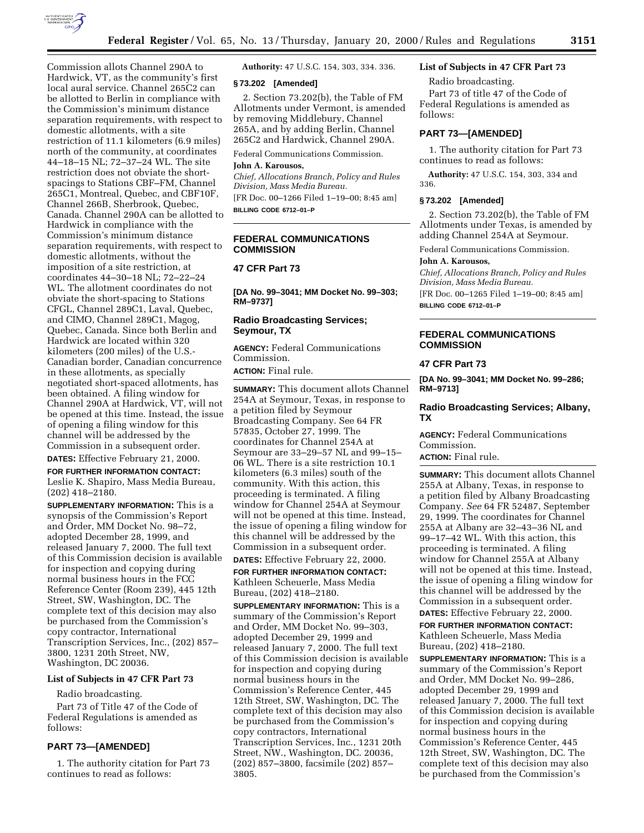

Commission allots Channel 290A to Hardwick, VT, as the community's first local aural service. Channel 265C2 can be allotted to Berlin in compliance with the Commission's minimum distance separation requirements, with respect to domestic allotments, with a site restriction of 11.1 kilometers (6.9 miles) north of the community, at coordinates 44–18–15 NL; 72–37–24 WL. The site restriction does not obviate the shortspacings to Stations CBF–FM, Channel 265C1, Montreal, Quebec, and CBF10F, Channel 266B, Sherbrook, Quebec, Canada. Channel 290A can be allotted to Hardwick in compliance with the Commission's minimum distance separation requirements, with respect to domestic allotments, without the imposition of a site restriction, at coordinates 44–30–18 NL; 72–22–24 WL. The allotment coordinates do not obviate the short-spacing to Stations CFGL, Channel 289C1, Laval, Quebec, and CIMO, Channel 289C1, Magog, Quebec, Canada. Since both Berlin and Hardwick are located within 320 kilometers (200 miles) of the U.S.- Canadian border, Canadian concurrence in these allotments, as specially negotiated short-spaced allotments, has been obtained. A filing window for Channel 290A at Hardwick, VT, will not be opened at this time. Instead, the issue of opening a filing window for this channel will be addressed by the Commission in a subsequent order.

**DATES:** Effective February 21, 2000.

**FOR FURTHER INFORMATION CONTACT:** Leslie K. Shapiro, Mass Media Bureau, (202) 418–2180.

**SUPPLEMENTARY INFORMATION:** This is a synopsis of the Commission's Report and Order, MM Docket No. 98–72, adopted December 28, 1999, and released January 7, 2000. The full text of this Commission decision is available for inspection and copying during normal business hours in the FCC Reference Center (Room 239), 445 12th Street, SW, Washington, DC. The complete text of this decision may also be purchased from the Commission's copy contractor, International Transcription Services, Inc., (202) 857– 3800, 1231 20th Street, NW, Washington, DC 20036.

#### **List of Subjects in 47 CFR Part 73**

Radio broadcasting.

Part 73 of Title 47 of the Code of Federal Regulations is amended as follows:

# **PART 73—[AMENDED]**

1. The authority citation for Part 73 continues to read as follows:

**Authority:** 47 U.S.C. 154, 303, 334. 336.

### **§ 73.202 [Amended]**

2. Section 73.202(b), the Table of FM Allotments under Vermont, is amended by removing Middlebury, Channel 265A, and by adding Berlin, Channel 265C2 and Hardwick, Channel 290A.

Federal Communications Commission.

# **John A. Karousos,**

*Chief, Allocations Branch, Policy and Rules Division, Mass Media Bureau.* [FR Doc. 00–1266 Filed 1–19–00; 8:45 am] **BILLING CODE 6712–01–P**

# **FEDERAL COMMUNICATIONS COMMISSION**

# **47 CFR Part 73**

**[DA No. 99–3041; MM Docket No. 99–303; RM–9737]**

# **Radio Broadcasting Services; Seymour, TX**

**AGENCY:** Federal Communications Commission.

**ACTION:** Final rule.

**SUMMARY:** This document allots Channel 254A at Seymour, Texas, in response to a petition filed by Seymour Broadcasting Company. See 64 FR 57835, October 27, 1999. The coordinates for Channel 254A at Seymour are 33–29–57 NL and 99–15– 06 WL. There is a site restriction 10.1 kilometers (6.3 miles) south of the community. With this action, this proceeding is terminated. A filing window for Channel 254A at Seymour will not be opened at this time. Instead, the issue of opening a filing window for this channel will be addressed by the Commission in a subsequent order.

# **DATES:** Effective February 22, 2000.

**FOR FURTHER INFORMATION CONTACT:** Kathleen Scheuerle, Mass Media Bureau, (202) 418–2180.

**SUPPLEMENTARY INFORMATION:** This is a summary of the Commission's Report and Order, MM Docket No. 99–303, adopted December 29, 1999 and released January 7, 2000. The full text of this Commission decision is available for inspection and copying during normal business hours in the Commission's Reference Center, 445 12th Street, SW, Washington, DC. The complete text of this decision may also be purchased from the Commission's copy contractors, International Transcription Services, Inc., 1231 20th Street, NW., Washington, DC. 20036, (202) 857–3800, facsimile (202) 857– 3805.

# **List of Subjects in 47 CFR Part 73**

Radio broadcasting.

Part 73 of title 47 of the Code of Federal Regulations is amended as follows:

# **PART 73—[AMENDED]**

1. The authority citation for Part 73 continues to read as follows:

**Authority:** 47 U.S.C. 154, 303, 334 and 336.

## **§ 73.202 [Amended]**

2. Section 73.202(b), the Table of FM Allotments under Texas, is amended by adding Channel 254A at Seymour.

Federal Communications Commission.

### **John A. Karousos,**

*Chief, Allocations Branch, Policy and Rules Division, Mass Media Bureau.*

[FR Doc. 00–1265 Filed 1–19–00; 8:45 am] **BILLING CODE 6712–01–P**

# **FEDERAL COMMUNICATIONS COMMISSION**

### **47 CFR Part 73**

**[DA No. 99–3041; MM Docket No. 99–286; RM–9713]**

## **Radio Broadcasting Services; Albany, TX**

**AGENCY:** Federal Communications Commission.

### **ACTION:** Final rule.

**SUMMARY:** This document allots Channel 255A at Albany, Texas, in response to a petition filed by Albany Broadcasting Company. *See* 64 FR 52487, September 29, 1999. The coordinates for Channel 255A at Albany are 32–43–36 NL and 99–17–42 WL. With this action, this proceeding is terminated. A filing window for Channel 255A at Albany will not be opened at this time. Instead, the issue of opening a filing window for this channel will be addressed by the Commission in a subsequent order.

**DATES:** Effective February 22, 2000. **FOR FURTHER INFORMATION CONTACT:**

Kathleen Scheuerle, Mass Media Bureau, (202) 418–2180.

**SUPPLEMENTARY INFORMATION:** This is a summary of the Commission's Report and Order, MM Docket No. 99–286, adopted December 29, 1999 and released January 7, 2000. The full text of this Commission decision is available for inspection and copying during normal business hours in the Commission's Reference Center, 445 12th Street, SW, Washington, DC. The complete text of this decision may also be purchased from the Commission's